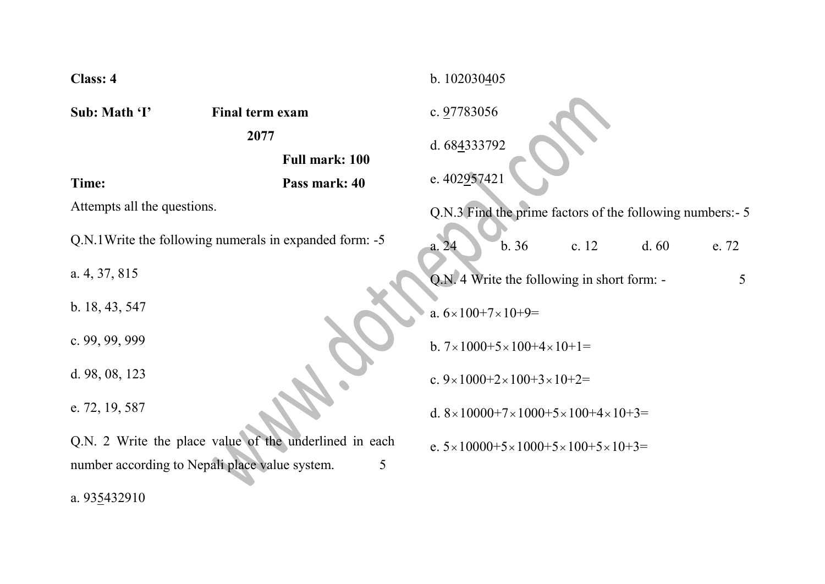| Class: 4                                                                                                      |                        | b. 102030405                                                           |
|---------------------------------------------------------------------------------------------------------------|------------------------|------------------------------------------------------------------------|
| Sub: Math 'I'                                                                                                 | Final term exam        | c. 97783056                                                            |
|                                                                                                               | 2077<br>Full mark: 100 | d. 684333792                                                           |
| Time:                                                                                                         | Pass mark: 40          | e. 402957421                                                           |
| Attempts all the questions.                                                                                   |                        | Q.N.3 Find the prime factors of the following numbers: - 5             |
| Q.N.1 Write the following numerals in expanded form: -5                                                       |                        | b.36<br>c. 12<br>d.60<br>e. 72<br>a.24                                 |
| a. $4, 37, 815$                                                                                               |                        | Q.N. 4 Write the following in short form: -<br>5                       |
| b. 18, 43, 547                                                                                                |                        | a. $6 \times 100 + 7 \times 10 + 9 =$                                  |
| c. $99, 99, 999$                                                                                              |                        | b. $7 \times 1000 + 5 \times 100 + 4 \times 10 + 1 =$                  |
| d. $98, 08, 123$                                                                                              |                        | c. $9 \times 1000 + 2 \times 100 + 3 \times 10 + 2 =$                  |
| e. 72, 19, 587                                                                                                |                        | d. $8 \times 10000 + 7 \times 1000 + 5 \times 100 + 4 \times 10 + 3 =$ |
| Q.N. 2 Write the place value of the underlined in each<br>number according to Nepali place value system.<br>5 |                        | e. $5 \times 10000 + 5 \times 1000 + 5 \times 100 + 5 \times 10 + 3 =$ |
|                                                                                                               |                        |                                                                        |

a. 935432910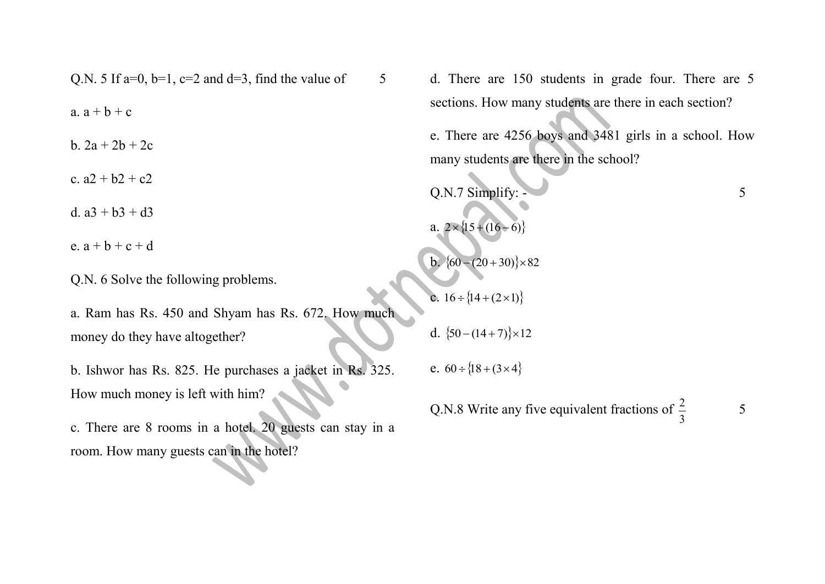Q.N. 5 If a=0, b=1, c=2 and d=3, find the value of  $\qquad$  5 a.  $a + b + c$ b. 2a + 2b + 2c c.  $a2 + b2 + c2$ d.  $a3 + b3 + d3$ e.  $a + b + c + d$ 

Q.N. 6 Solve the following problems.

a. Ram has Rs. 450 and Shyam has Rs. 672. How much money do they have altogether?

b. Ishwor has Rs. 825. He purchases a jacket in Rs. 325. How much money is left with him?

c. There are 8 rooms in a hotel. 20 guests can stay in a room. How many guests can in the hotel?

d. There are 150 students in grade four. There are 5 sections. How many students are there in each section?

e. There are 4256 boys and 3481 girls in a school. How many students are there in the school?

Q.N.7 Simplify:  $\sim$  5 a.  $2 \times \{15 + (16 - 6)\}$ b.  $\{60 - (20 + 30)\} \times 82$ c.  $16 \div \{14 + (2 \times 1)\}$ d.  ${50-(14+7)}\times12$ e.  $60 \div \{18 + (3 \times 4)\}$ 

Q.N.8 Write any five equivalent fractions of 3 2

5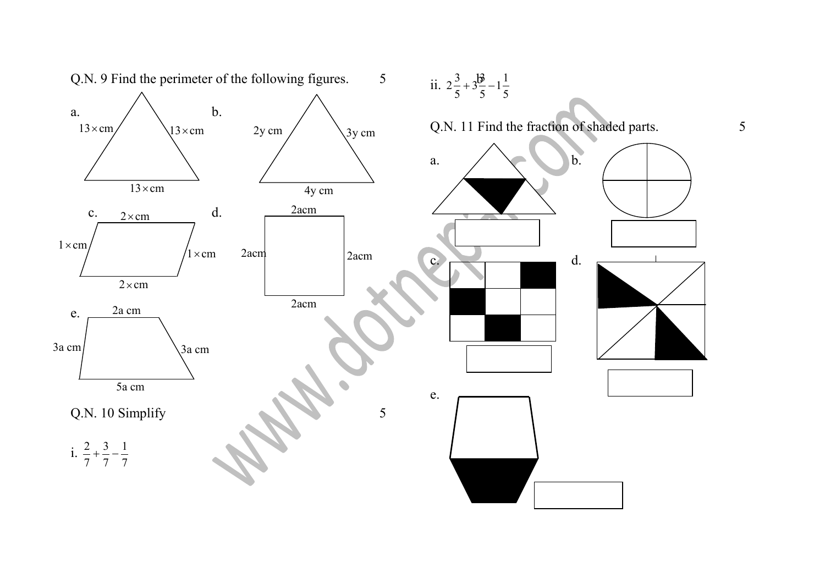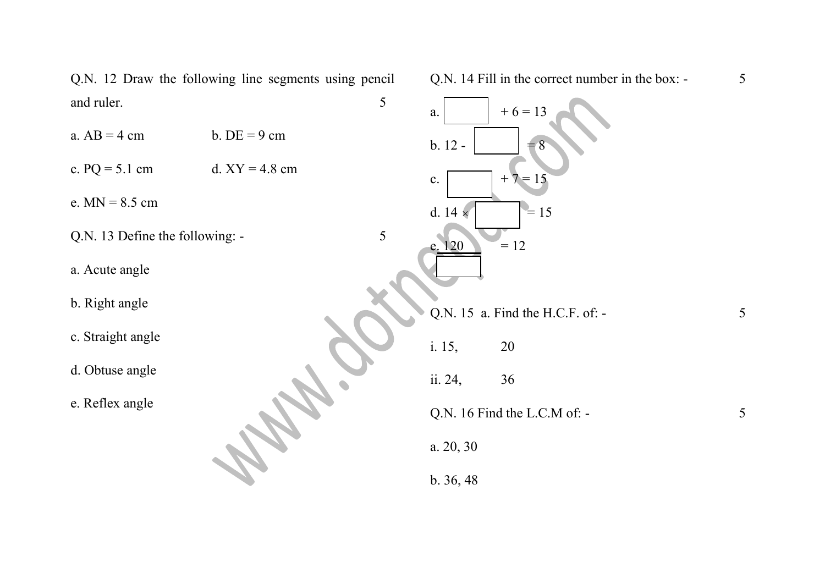Q.N. 12 Draw the following line segments using pencil and ruler. 5

- a.  $AB = 4$  cm b.  $DE = 9$  cm
- c.  $PQ = 5.1$  cm d.  $XY = 4.8$  cm

e. MN = 8.5 cm

- Q.N. 13 Define the following:  $\overline{\phantom{a}}$  5
- a. Acute angle
- b. Right angle
- c. Straight angle
- d. Obtuse angle
- e. Reflex angle

Q.N. 14 Fill in the correct number in the box: - 5

a.  $+6 = 13$ b. 12 -  $\vert$  = 8 c.  $+7 = 15$ d. 14  $\times$  $= 15$  $120 = 12$ Q.N. 15 a. Find the H.C.F. of:  $-$  5 i. 15, 20 ii. 24, 36  $Q.N. 16$  Find the L.C.M of:  $-5$ a. 20, 30 b. 36, 48